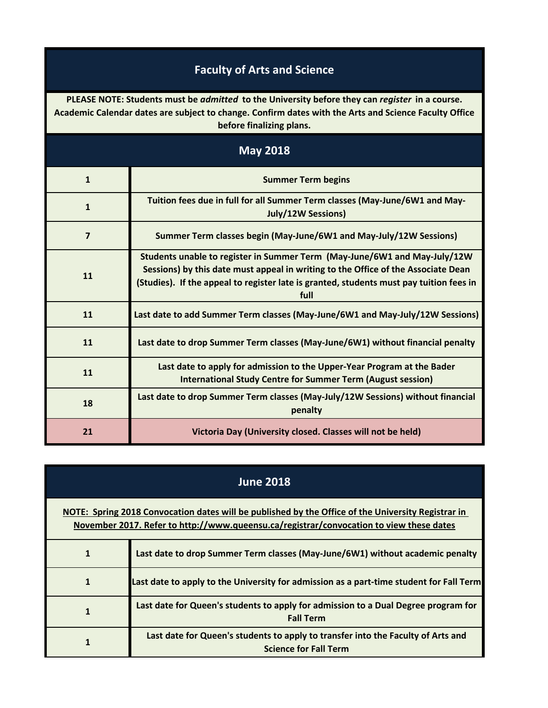## **Faculty of Arts and Science**

**PLEASE NOTE: Students must be** *admitted* **to the University before they can** *register* **in a course. Academic Calendar dates are subject to change. Confirm dates with the Arts and Science Faculty Office before finalizing plans.**

| <b>May 2018</b> |                                                                                                                                                                                                                                                                   |
|-----------------|-------------------------------------------------------------------------------------------------------------------------------------------------------------------------------------------------------------------------------------------------------------------|
| $\mathbf{1}$    | <b>Summer Term begins</b>                                                                                                                                                                                                                                         |
| $\mathbf{1}$    | Tuition fees due in full for all Summer Term classes (May-June/6W1 and May-<br><b>July/12W Sessions)</b>                                                                                                                                                          |
| $\overline{7}$  | Summer Term classes begin (May-June/6W1 and May-July/12W Sessions)                                                                                                                                                                                                |
| 11              | Students unable to register in Summer Term (May-June/6W1 and May-July/12W<br>Sessions) by this date must appeal in writing to the Office of the Associate Dean<br>(Studies). If the appeal to register late is granted, students must pay tuition fees in<br>full |
| 11              | Last date to add Summer Term classes (May-June/6W1 and May-July/12W Sessions)                                                                                                                                                                                     |
| 11              | Last date to drop Summer Term classes (May-June/6W1) without financial penalty                                                                                                                                                                                    |
| 11              | Last date to apply for admission to the Upper-Year Program at the Bader<br><b>International Study Centre for Summer Term (August session)</b>                                                                                                                     |
| 18              | Last date to drop Summer Term classes (May-July/12W Sessions) without financial<br>penalty                                                                                                                                                                        |
| 21              | Victoria Day (University closed. Classes will not be held)                                                                                                                                                                                                        |

| <b>June 2018</b>                                                                                                                                                                              |                                                                                                                  |
|-----------------------------------------------------------------------------------------------------------------------------------------------------------------------------------------------|------------------------------------------------------------------------------------------------------------------|
| NOTE: Spring 2018 Convocation dates will be published by the Office of the University Registrar in<br>November 2017. Refer to http://www.queensu.ca/registrar/convocation to view these dates |                                                                                                                  |
| 1                                                                                                                                                                                             | Last date to drop Summer Term classes (May-June/6W1) without academic penalty                                    |
| 1                                                                                                                                                                                             | Last date to apply to the University for admission as a part-time student for Fall Term                          |
|                                                                                                                                                                                               | Last date for Queen's students to apply for admission to a Dual Degree program for<br><b>Fall Term</b>           |
|                                                                                                                                                                                               | Last date for Queen's students to apply to transfer into the Faculty of Arts and<br><b>Science for Fall Term</b> |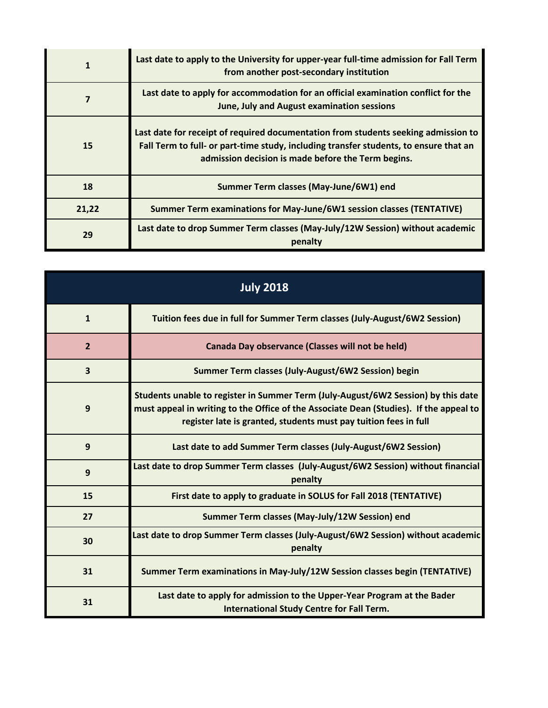| $\mathbf{1}$ | Last date to apply to the University for upper-year full-time admission for Fall Term<br>from another post-secondary institution                                                                                                  |
|--------------|-----------------------------------------------------------------------------------------------------------------------------------------------------------------------------------------------------------------------------------|
|              | Last date to apply for accommodation for an official examination conflict for the<br>June, July and August examination sessions                                                                                                   |
| <b>15</b>    | Last date for receipt of required documentation from students seeking admission to<br>Fall Term to full- or part-time study, including transfer students, to ensure that an<br>admission decision is made before the Term begins. |
| 18           | Summer Term classes (May-June/6W1) end                                                                                                                                                                                            |
| 21,22        | Summer Term examinations for May-June/6W1 session classes (TENTATIVE)                                                                                                                                                             |
| 29           | Last date to drop Summer Term classes (May-July/12W Session) without academic<br>penalty                                                                                                                                          |

| <b>July 2018</b>        |                                                                                                                                                                                                                                                 |
|-------------------------|-------------------------------------------------------------------------------------------------------------------------------------------------------------------------------------------------------------------------------------------------|
| $\mathbf{1}$            | Tuition fees due in full for Summer Term classes (July-August/6W2 Session)                                                                                                                                                                      |
| $\overline{2}$          | Canada Day observance (Classes will not be held)                                                                                                                                                                                                |
| $\overline{\mathbf{3}}$ | Summer Term classes (July-August/6W2 Session) begin                                                                                                                                                                                             |
| 9                       | Students unable to register in Summer Term (July-August/6W2 Session) by this date<br>must appeal in writing to the Office of the Associate Dean (Studies). If the appeal to<br>register late is granted, students must pay tuition fees in full |
| 9                       | Last date to add Summer Term classes (July-August/6W2 Session)                                                                                                                                                                                  |
| 9                       | Last date to drop Summer Term classes (July-August/6W2 Session) without financial<br>penalty                                                                                                                                                    |
| 15                      | First date to apply to graduate in SOLUS for Fall 2018 (TENTATIVE)                                                                                                                                                                              |
| 27                      | Summer Term classes (May-July/12W Session) end                                                                                                                                                                                                  |
| 30                      | Last date to drop Summer Term classes (July-August/6W2 Session) without academic<br>penalty                                                                                                                                                     |
| 31                      | Summer Term examinations in May-July/12W Session classes begin (TENTATIVE)                                                                                                                                                                      |
| 31                      | Last date to apply for admission to the Upper-Year Program at the Bader<br><b>International Study Centre for Fall Term.</b>                                                                                                                     |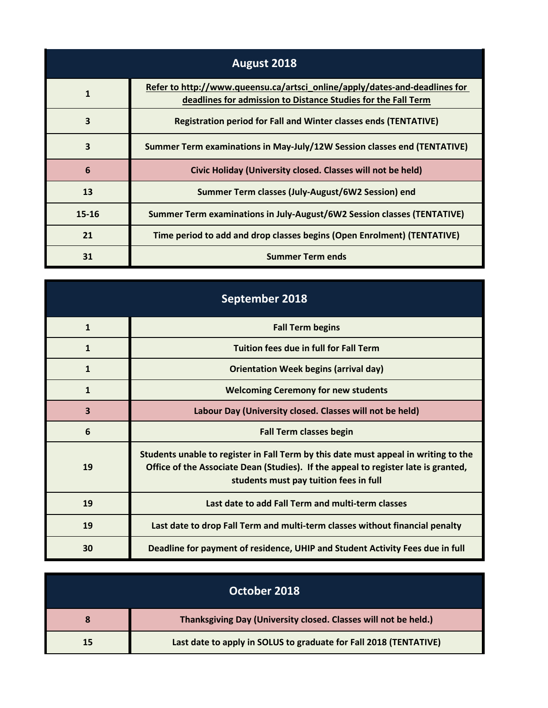| August 2018  |                                                                                                                                             |
|--------------|---------------------------------------------------------------------------------------------------------------------------------------------|
| $\mathbf{1}$ | Refer to http://www.queensu.ca/artsci_online/apply/dates-and-deadlines for<br>deadlines for admission to Distance Studies for the Fall Term |
| 3            | <b>Registration period for Fall and Winter classes ends (TENTATIVE)</b>                                                                     |
| 3            | Summer Term examinations in May-July/12W Session classes end (TENTATIVE)                                                                    |
| 6            | Civic Holiday (University closed. Classes will not be held)                                                                                 |
| 13           | Summer Term classes (July-August/6W2 Session) end                                                                                           |
| $15 - 16$    | Summer Term examinations in July-August/6W2 Session classes (TENTATIVE)                                                                     |
| 21           | Time period to add and drop classes begins (Open Enrolment) (TENTATIVE)                                                                     |
| 31           | <b>Summer Term ends</b>                                                                                                                     |

| September 2018 |                                                                                                                                                                                                                     |
|----------------|---------------------------------------------------------------------------------------------------------------------------------------------------------------------------------------------------------------------|
| $\mathbf{1}$   | <b>Fall Term begins</b>                                                                                                                                                                                             |
| $\mathbf{1}$   | <b>Tuition fees due in full for Fall Term</b>                                                                                                                                                                       |
| $\mathbf{1}$   | <b>Orientation Week begins (arrival day)</b>                                                                                                                                                                        |
| 1              | <b>Welcoming Ceremony for new students</b>                                                                                                                                                                          |
| 3              | Labour Day (University closed. Classes will not be held)                                                                                                                                                            |
| 6              | <b>Fall Term classes begin</b>                                                                                                                                                                                      |
| 19             | Students unable to register in Fall Term by this date must appeal in writing to the<br>Office of the Associate Dean (Studies). If the appeal to register late is granted,<br>students must pay tuition fees in full |
| 19             | Last date to add Fall Term and multi-term classes                                                                                                                                                                   |
| 19             | Last date to drop Fall Term and multi-term classes without financial penalty                                                                                                                                        |
| 30             | Deadline for payment of residence, UHIP and Student Activity Fees due in full                                                                                                                                       |

| October 2018 |                                                                   |
|--------------|-------------------------------------------------------------------|
|              | Thanksgiving Day (University closed. Classes will not be held.)   |
| 15           | Last date to apply in SOLUS to graduate for Fall 2018 (TENTATIVE) |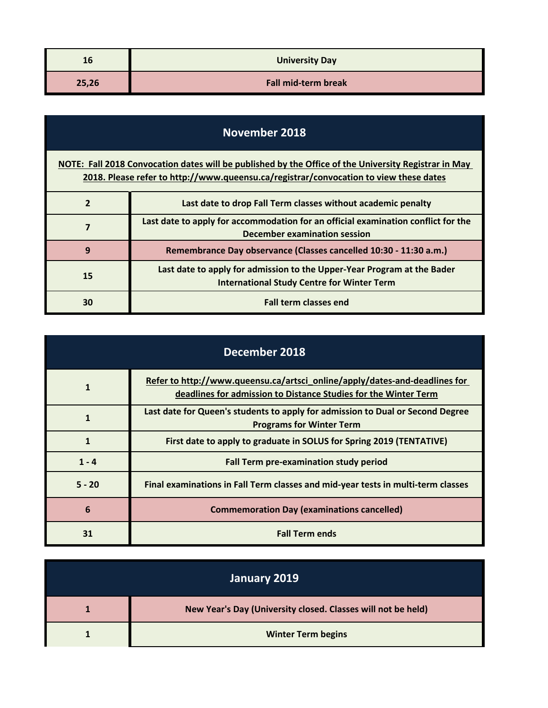| 16    | <b>University Day</b>      |
|-------|----------------------------|
| 25,26 | <b>Fall mid-term break</b> |

| November 2018                                                                                                                                                                                 |                                                                                                                              |
|-----------------------------------------------------------------------------------------------------------------------------------------------------------------------------------------------|------------------------------------------------------------------------------------------------------------------------------|
| NOTE: Fall 2018 Convocation dates will be published by the Office of the University Registrar in May<br>2018. Please refer to http://www.queensu.ca/registrar/convocation to view these dates |                                                                                                                              |
| $\overline{2}$                                                                                                                                                                                | Last date to drop Fall Term classes without academic penalty                                                                 |
| 7                                                                                                                                                                                             | Last date to apply for accommodation for an official examination conflict for the<br>December examination session            |
| 9                                                                                                                                                                                             | Remembrance Day observance (Classes cancelled 10:30 - 11:30 a.m.)                                                            |
| 15                                                                                                                                                                                            | Last date to apply for admission to the Upper-Year Program at the Bader<br><b>International Study Centre for Winter Term</b> |
| 30                                                                                                                                                                                            | <b>Fall term classes end</b>                                                                                                 |

| December 2018 |                                                                                                                                               |
|---------------|-----------------------------------------------------------------------------------------------------------------------------------------------|
|               | Refer to http://www.queensu.ca/artsci_online/apply/dates-and-deadlines for<br>deadlines for admission to Distance Studies for the Winter Term |
|               | Last date for Queen's students to apply for admission to Dual or Second Degree<br><b>Programs for Winter Term</b>                             |
| 1             | First date to apply to graduate in SOLUS for Spring 2019 (TENTATIVE)                                                                          |
| $1 - 4$       | <b>Fall Term pre-examination study period</b>                                                                                                 |
| $5 - 20$      | Final examinations in Fall Term classes and mid-year tests in multi-term classes                                                              |
| 6             | <b>Commemoration Day (examinations cancelled)</b>                                                                                             |
| 31            | <b>Fall Term ends</b>                                                                                                                         |

| January 2019 |                                                              |
|--------------|--------------------------------------------------------------|
|              | New Year's Day (University closed. Classes will not be held) |
|              | <b>Winter Term begins</b>                                    |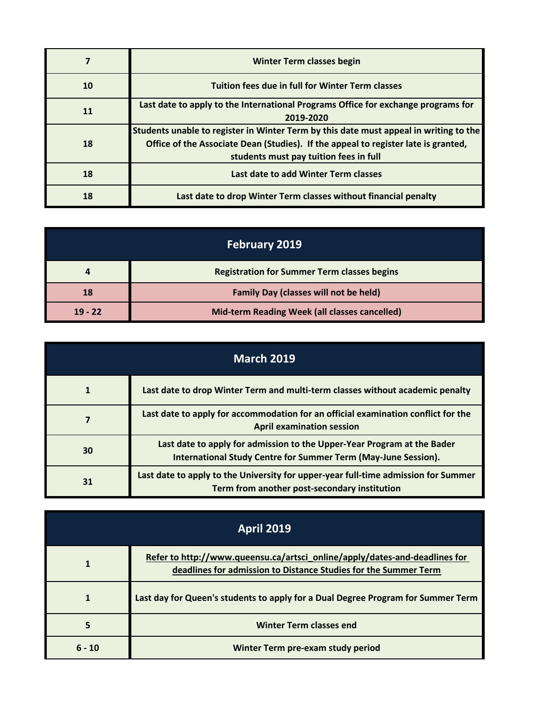|           | <b>Winter Term classes begin</b>                                                                                                                                                                                      |
|-----------|-----------------------------------------------------------------------------------------------------------------------------------------------------------------------------------------------------------------------|
| 10        | <b>Tuition fees due in full for Winter Term classes</b>                                                                                                                                                               |
| <b>11</b> | Last date to apply to the International Programs Office for exchange programs for<br>2019-2020                                                                                                                        |
| 18        | Students unable to register in Winter Term by this date must appeal in writing to the<br>Office of the Associate Dean (Studies). If the appeal to register late is granted,<br>students must pay tuition fees in full |
| 18        | Last date to add Winter Term classes                                                                                                                                                                                  |
| 18        | Last date to drop Winter Term classes without financial penalty                                                                                                                                                       |

| February 2019 |                                                    |
|---------------|----------------------------------------------------|
|               | <b>Registration for Summer Term classes begins</b> |
| 18            | <b>Family Day (classes will not be held)</b>       |
| $19 - 22$     | Mid-term Reading Week (all classes cancelled)      |

| <b>March 2019</b> |                                                                                                                                           |
|-------------------|-------------------------------------------------------------------------------------------------------------------------------------------|
|                   | Last date to drop Winter Term and multi-term classes without academic penalty                                                             |
|                   | Last date to apply for accommodation for an official examination conflict for the<br><b>April examination session</b>                     |
| 30                | Last date to apply for admission to the Upper-Year Program at the Bader<br>International Study Centre for Summer Term (May-June Session). |
| 31                | Last date to apply to the University for upper-year full-time admission for Summer<br>Term from another post-secondary institution        |

| <b>April 2019</b> |                                                                                                                                               |
|-------------------|-----------------------------------------------------------------------------------------------------------------------------------------------|
|                   | Refer to http://www.queensu.ca/artsci_online/apply/dates-and-deadlines for<br>deadlines for admission to Distance Studies for the Summer Term |
|                   | Last day for Queen's students to apply for a Dual Degree Program for Summer Term                                                              |
|                   | <b>Winter Term classes end</b>                                                                                                                |
| $6 - 10$          | Winter Term pre-exam study period                                                                                                             |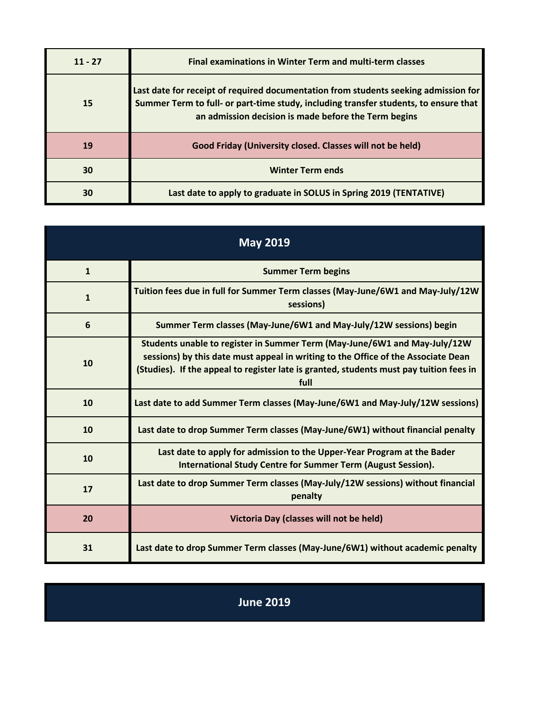| $11 - 27$ | <b>Final examinations in Winter Term and multi-term classes</b>                                                                                                                                                                     |
|-----------|-------------------------------------------------------------------------------------------------------------------------------------------------------------------------------------------------------------------------------------|
| <b>15</b> | Last date for receipt of required documentation from students seeking admission for<br>Summer Term to full- or part-time study, including transfer students, to ensure that<br>an admission decision is made before the Term begins |
| 19        | Good Friday (University closed. Classes will not be held)                                                                                                                                                                           |
| 30        | <b>Winter Term ends</b>                                                                                                                                                                                                             |
| 30        | Last date to apply to graduate in SOLUS in Spring 2019 (TENTATIVE)                                                                                                                                                                  |

| <b>May 2019</b> |                                                                                                                                                                                                                                                                   |
|-----------------|-------------------------------------------------------------------------------------------------------------------------------------------------------------------------------------------------------------------------------------------------------------------|
| $\mathbf{1}$    | <b>Summer Term begins</b>                                                                                                                                                                                                                                         |
| $\mathbf{1}$    | Tuition fees due in full for Summer Term classes (May-June/6W1 and May-July/12W<br>sessions)                                                                                                                                                                      |
| 6               | Summer Term classes (May-June/6W1 and May-July/12W sessions) begin                                                                                                                                                                                                |
| 10              | Students unable to register in Summer Term (May-June/6W1 and May-July/12W<br>sessions) by this date must appeal in writing to the Office of the Associate Dean<br>(Studies). If the appeal to register late is granted, students must pay tuition fees in<br>full |
| 10              | Last date to add Summer Term classes (May-June/6W1 and May-July/12W sessions)                                                                                                                                                                                     |
| 10              | Last date to drop Summer Term classes (May-June/6W1) without financial penalty                                                                                                                                                                                    |
| 10              | Last date to apply for admission to the Upper-Year Program at the Bader<br><b>International Study Centre for Summer Term (August Session).</b>                                                                                                                    |
| 17              | Last date to drop Summer Term classes (May-July/12W sessions) without financial<br>penalty                                                                                                                                                                        |
| 20              | Victoria Day (classes will not be held)                                                                                                                                                                                                                           |
| 31              | Last date to drop Summer Term classes (May-June/6W1) without academic penalty                                                                                                                                                                                     |

| <b>June 2019</b> |
|------------------|
|                  |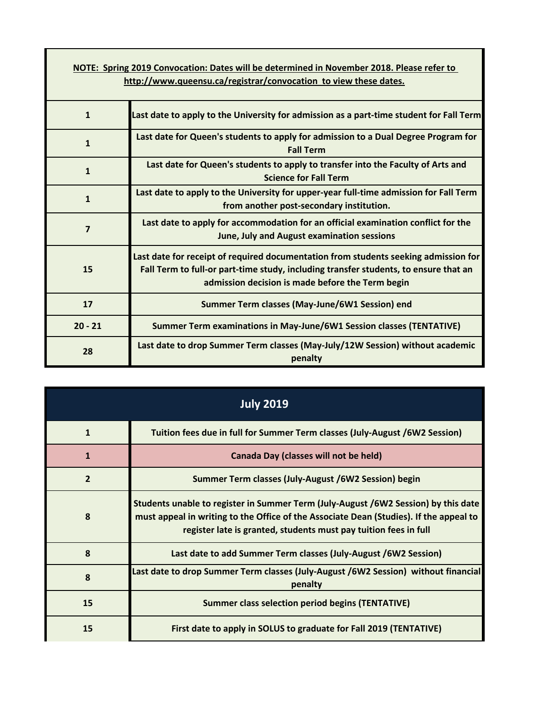| NOTE: Spring 2019 Convocation: Dates will be determined in November 2018. Please refer to<br>http://www.queensu.ca/registrar/convocation to view these dates. |                                                                                                                                                                                                                                 |  |
|---------------------------------------------------------------------------------------------------------------------------------------------------------------|---------------------------------------------------------------------------------------------------------------------------------------------------------------------------------------------------------------------------------|--|
|                                                                                                                                                               |                                                                                                                                                                                                                                 |  |
| $\mathbf{1}$                                                                                                                                                  | Last date to apply to the University for admission as a part-time student for Fall Term                                                                                                                                         |  |
| $\mathbf{1}$                                                                                                                                                  | Last date for Queen's students to apply for admission to a Dual Degree Program for<br><b>Fall Term</b>                                                                                                                          |  |
| $\mathbf{1}$                                                                                                                                                  | Last date for Queen's students to apply to transfer into the Faculty of Arts and<br><b>Science for Fall Term</b>                                                                                                                |  |
| $\mathbf{1}$                                                                                                                                                  | Last date to apply to the University for upper-year full-time admission for Fall Term<br>from another post-secondary institution.                                                                                               |  |
| $\overline{7}$                                                                                                                                                | Last date to apply for accommodation for an official examination conflict for the<br>June, July and August examination sessions                                                                                                 |  |
| 15                                                                                                                                                            | Last date for receipt of required documentation from students seeking admission for<br>Fall Term to full-or part-time study, including transfer students, to ensure that an<br>admission decision is made before the Term begin |  |
| 17                                                                                                                                                            | Summer Term classes (May-June/6W1 Session) end                                                                                                                                                                                  |  |
| $20 - 21$                                                                                                                                                     | Summer Term examinations in May-June/6W1 Session classes (TENTATIVE)                                                                                                                                                            |  |
| 28                                                                                                                                                            | Last date to drop Summer Term classes (May-July/12W Session) without academic<br>penalty                                                                                                                                        |  |

| <b>July 2019</b> |                                                                                                                                                                                                                                                  |
|------------------|--------------------------------------------------------------------------------------------------------------------------------------------------------------------------------------------------------------------------------------------------|
| $\mathbf{1}$     | Tuition fees due in full for Summer Term classes (July-August /6W2 Session)                                                                                                                                                                      |
| $\mathbf{1}$     | Canada Day (classes will not be held)                                                                                                                                                                                                            |
| $\overline{2}$   | Summer Term classes (July-August /6W2 Session) begin                                                                                                                                                                                             |
| 8                | Students unable to register in Summer Term (July-August /6W2 Session) by this date<br>must appeal in writing to the Office of the Associate Dean (Studies). If the appeal to<br>register late is granted, students must pay tuition fees in full |
| 8                | Last date to add Summer Term classes (July-August /6W2 Session)                                                                                                                                                                                  |
| 8                | Last date to drop Summer Term classes (July-August /6W2 Session)  without financial<br>penalty                                                                                                                                                   |
| 15               | <b>Summer class selection period begins (TENTATIVE)</b>                                                                                                                                                                                          |
| 15               | First date to apply in SOLUS to graduate for Fall 2019 (TENTATIVE)                                                                                                                                                                               |